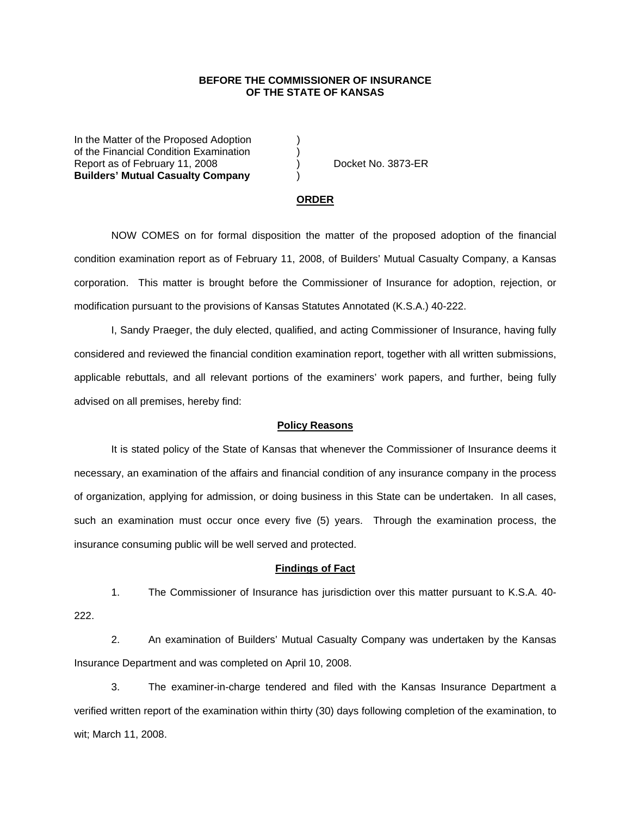## **BEFORE THE COMMISSIONER OF INSURANCE OF THE STATE OF KANSAS**

In the Matter of the Proposed Adoption of the Financial Condition Examination ) Report as of February 11, 2008 (a) Docket No. 3873-ER **Builders' Mutual Casualty Company** )

#### **ORDER**

 NOW COMES on for formal disposition the matter of the proposed adoption of the financial condition examination report as of February 11, 2008, of Builders' Mutual Casualty Company, a Kansas corporation. This matter is brought before the Commissioner of Insurance for adoption, rejection, or modification pursuant to the provisions of Kansas Statutes Annotated (K.S.A.) 40-222.

 I, Sandy Praeger, the duly elected, qualified, and acting Commissioner of Insurance, having fully considered and reviewed the financial condition examination report, together with all written submissions, applicable rebuttals, and all relevant portions of the examiners' work papers, and further, being fully advised on all premises, hereby find:

### **Policy Reasons**

 It is stated policy of the State of Kansas that whenever the Commissioner of Insurance deems it necessary, an examination of the affairs and financial condition of any insurance company in the process of organization, applying for admission, or doing business in this State can be undertaken. In all cases, such an examination must occur once every five (5) years. Through the examination process, the insurance consuming public will be well served and protected.

#### **Findings of Fact**

 1. The Commissioner of Insurance has jurisdiction over this matter pursuant to K.S.A. 40- 222.

 2. An examination of Builders' Mutual Casualty Company was undertaken by the Kansas Insurance Department and was completed on April 10, 2008.

 3. The examiner-in-charge tendered and filed with the Kansas Insurance Department a verified written report of the examination within thirty (30) days following completion of the examination, to wit; March 11, 2008.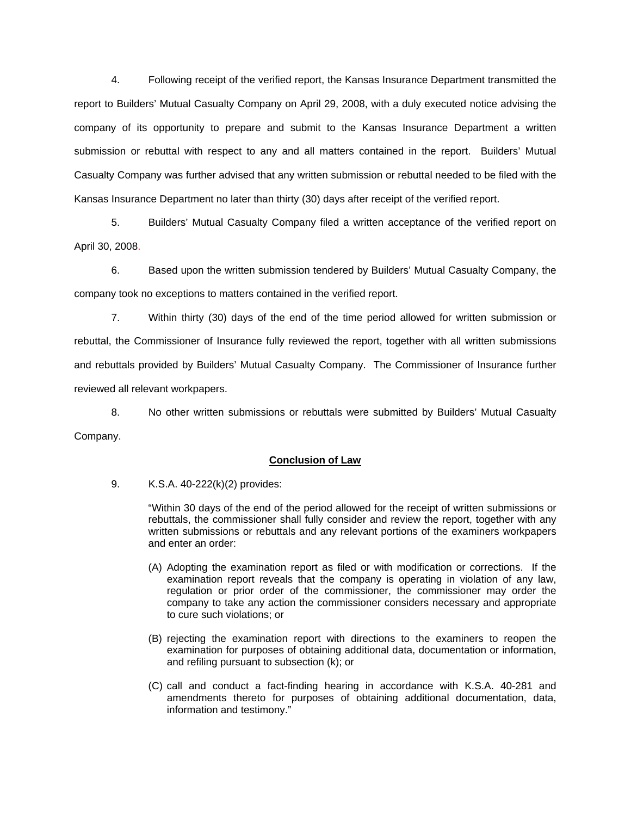4. Following receipt of the verified report, the Kansas Insurance Department transmitted the report to Builders' Mutual Casualty Company on April 29, 2008, with a duly executed notice advising the company of its opportunity to prepare and submit to the Kansas Insurance Department a written submission or rebuttal with respect to any and all matters contained in the report. Builders' Mutual Casualty Company was further advised that any written submission or rebuttal needed to be filed with the Kansas Insurance Department no later than thirty (30) days after receipt of the verified report.

 5. Builders' Mutual Casualty Company filed a written acceptance of the verified report on April 30, 2008.

6. Based upon the written submission tendered by Builders' Mutual Casualty Company, the company took no exceptions to matters contained in the verified report.

 7. Within thirty (30) days of the end of the time period allowed for written submission or rebuttal, the Commissioner of Insurance fully reviewed the report, together with all written submissions and rebuttals provided by Builders' Mutual Casualty Company. The Commissioner of Insurance further reviewed all relevant workpapers.

 8. No other written submissions or rebuttals were submitted by Builders' Mutual Casualty Company.

## **Conclusion of Law**

9. K.S.A. 40-222(k)(2) provides:

"Within 30 days of the end of the period allowed for the receipt of written submissions or rebuttals, the commissioner shall fully consider and review the report, together with any written submissions or rebuttals and any relevant portions of the examiners workpapers and enter an order:

- (A) Adopting the examination report as filed or with modification or corrections. If the examination report reveals that the company is operating in violation of any law, regulation or prior order of the commissioner, the commissioner may order the company to take any action the commissioner considers necessary and appropriate to cure such violations; or
- (B) rejecting the examination report with directions to the examiners to reopen the examination for purposes of obtaining additional data, documentation or information, and refiling pursuant to subsection (k); or
- (C) call and conduct a fact-finding hearing in accordance with K.S.A. 40-281 and amendments thereto for purposes of obtaining additional documentation, data, information and testimony."